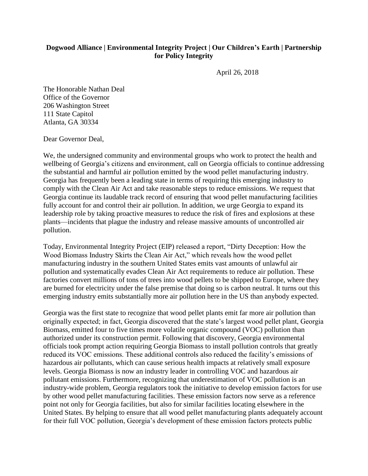## **Dogwood Alliance | Environmental Integrity Project | Our Children's Earth | Partnership for Policy Integrity**

April 26, 2018

The Honorable Nathan Deal Office of the Governor 206 Washington Street 111 State Capitol Atlanta, GA 30334

Dear Governor Deal,

We, the undersigned community and environmental groups who work to protect the health and wellbeing of Georgia's citizens and environment, call on Georgia officials to continue addressing the substantial and harmful air pollution emitted by the wood pellet manufacturing industry. Georgia has frequently been a leading state in terms of requiring this emerging industry to comply with the Clean Air Act and take reasonable steps to reduce emissions. We request that Georgia continue its laudable track record of ensuring that wood pellet manufacturing facilities fully account for and control their air pollution. In addition, we urge Georgia to expand its leadership role by taking proactive measures to reduce the risk of fires and explosions at these plants—incidents that plague the industry and release massive amounts of uncontrolled air pollution.

Today, Environmental Integrity Project (EIP) released a report, "Dirty Deception: How the Wood Biomass Industry Skirts the Clean Air Act," which reveals how the wood pellet manufacturing industry in the southern United States emits vast amounts of unlawful air pollution and systematically evades Clean Air Act requirements to reduce air pollution. These factories convert millions of tons of trees into wood pellets to be shipped to Europe, where they are burned for electricity under the false premise that doing so is carbon neutral. It turns out this emerging industry emits substantially more air pollution here in the US than anybody expected.

Georgia was the first state to recognize that wood pellet plants emit far more air pollution than originally expected; in fact, Georgia discovered that the state's largest wood pellet plant, Georgia Biomass, emitted four to five times more volatile organic compound (VOC) pollution than authorized under its construction permit. Following that discovery, Georgia environmental officials took prompt action requiring Georgia Biomass to install pollution controls that greatly reduced its VOC emissions. These additional controls also reduced the facility's emissions of hazardous air pollutants, which can cause serious health impacts at relatively small exposure levels. Georgia Biomass is now an industry leader in controlling VOC and hazardous air pollutant emissions. Furthermore, recognizing that underestimation of VOC pollution is an industry-wide problem, Georgia regulators took the initiative to develop emission factors for use by other wood pellet manufacturing facilities. These emission factors now serve as a reference point not only for Georgia facilities, but also for similar facilities locating elsewhere in the United States. By helping to ensure that all wood pellet manufacturing plants adequately account for their full VOC pollution, Georgia's development of these emission factors protects public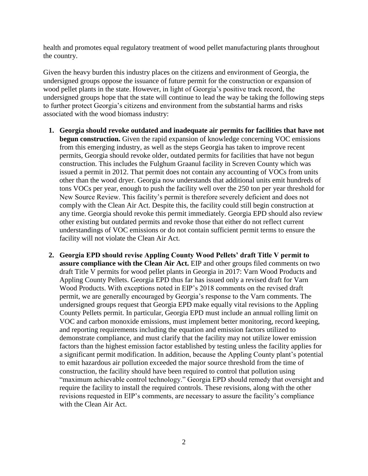health and promotes equal regulatory treatment of wood pellet manufacturing plants throughout the country.

Given the heavy burden this industry places on the citizens and environment of Georgia, the undersigned groups oppose the issuance of future permit for the construction or expansion of wood pellet plants in the state. However, in light of Georgia's positive track record, the undersigned groups hope that the state will continue to lead the way be taking the following steps to further protect Georgia's citizens and environment from the substantial harms and risks associated with the wood biomass industry:

- **1. Georgia should revoke outdated and inadequate air permits for facilities that have not begun construction.** Given the rapid expansion of knowledge concerning VOC emissions from this emerging industry, as well as the steps Georgia has taken to improve recent permits, Georgia should revoke older, outdated permits for facilities that have not begun construction. This includes the Fulghum Graanul facility in Screven County which was issued a permit in 2012. That permit does not contain any accounting of VOCs from units other than the wood dryer. Georgia now understands that additional units emit hundreds of tons VOCs per year, enough to push the facility well over the 250 ton per year threshold for New Source Review. This facility's permit is therefore severely deficient and does not comply with the Clean Air Act. Despite this, the facility could still begin construction at any time. Georgia should revoke this permit immediately. Georgia EPD should also review other existing but outdated permits and revoke those that either do not reflect current understandings of VOC emissions or do not contain sufficient permit terms to ensure the facility will not violate the Clean Air Act.
- **2. Georgia EPD should revise Appling County Wood Pellets' draft Title V permit to assure compliance with the Clean Air Act.** EIP and other groups filed comments on two draft Title V permits for wood pellet plants in Georgia in 2017: Varn Wood Products and Appling County Pellets. Georgia EPD thus far has issued only a revised draft for Varn Wood Products. With exceptions noted in EIP's 2018 comments on the revised draft permit, we are generally encouraged by Georgia's response to the Varn comments. The undersigned groups request that Georgia EPD make equally vital revisions to the Appling County Pellets permit. In particular, Georgia EPD must include an annual rolling limit on VOC and carbon monoxide emissions, must implement better monitoring, record keeping, and reporting requirements including the equation and emission factors utilized to demonstrate compliance, and must clarify that the facility may not utilize lower emission factors than the highest emission factor established by testing unless the facility applies for a significant permit modification. In addition, because the Appling County plant's potential to emit hazardous air pollution exceeded the major source threshold from the time of construction, the facility should have been required to control that pollution using "maximum achievable control technology." Georgia EPD should remedy that oversight and require the facility to install the required controls. These revisions, along with the other revisions requested in EIP's comments, are necessary to assure the facility's compliance with the Clean Air Act.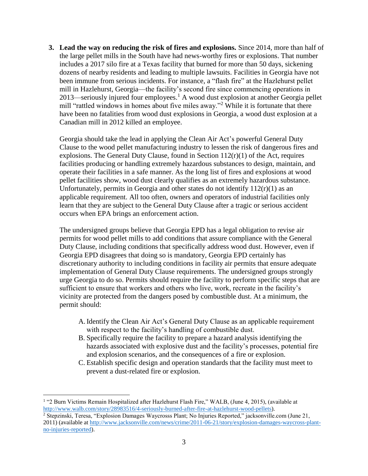**3. Lead the way on reducing the risk of fires and explosions.** Since 2014, more than half of the large pellet mills in the South have had news-worthy fires or explosions. That number includes a 2017 silo fire at a Texas facility that burned for more than 50 days, sickening dozens of nearby residents and leading to multiple lawsuits. Facilities in Georgia have not been immune from serious incidents. For instance, a "flash fire" at the Hazlehurst pellet mill in Hazlehurst, Georgia—the facility's second fire since commencing operations in 2013—seriously injured four employees.<sup>1</sup> A wood dust explosion at another Georgia pellet mill "rattled windows in homes about five miles away."<sup>2</sup> While it is fortunate that there have been no fatalities from wood dust explosions in Georgia, a wood dust explosion at a Canadian mill in 2012 killed an employee.

Georgia should take the lead in applying the Clean Air Act's powerful General Duty Clause to the wood pellet manufacturing industry to lessen the risk of dangerous fires and explosions. The General Duty Clause, found in Section  $112(r)(1)$  of the Act, requires facilities producing or handling extremely hazardous substances to design, maintain, and operate their facilities in a safe manner. As the long list of fires and explosions at wood pellet facilities show, wood dust clearly qualifies as an extremely hazardous substance. Unfortunately, permits in Georgia and other states do not identify  $112(r)(1)$  as an applicable requirement. All too often, owners and operators of industrial facilities only learn that they are subject to the General Duty Clause after a tragic or serious accident occurs when EPA brings an enforcement action.

The undersigned groups believe that Georgia EPD has a legal obligation to revise air permits for wood pellet mills to add conditions that assure compliance with the General Duty Clause, including conditions that specifically address wood dust. However, even if Georgia EPD disagrees that doing so is mandatory, Georgia EPD certainly has discretionary authority to including conditions in facility air permits that ensure adequate implementation of General Duty Clause requirements. The undersigned groups strongly urge Georgia to do so. Permits should require the facility to perform specific steps that are sufficient to ensure that workers and others who live, work, recreate in the facility's vicinity are protected from the dangers posed by combustible dust. At a minimum, the permit should:

- A.Identify the Clean Air Act's General Duty Clause as an applicable requirement with respect to the facility's handling of combustible dust.
- B. Specifically require the facility to prepare a hazard analysis identifying the hazards associated with explosive dust and the facility's processes, potential fire and explosion scenarios, and the consequences of a fire or explosion.
- C. Establish specific design and operation standards that the facility must meet to prevent a dust-related fire or explosion.

<sup>1</sup> "2 Burn Victims Remain Hospitalized after Hazlehurst Flash Fire," WALB, (June 4, 2015), (available at [http://www.walb.com/story/28983516/4-seriously-burned-after-fire-at-hazlehurst-wood-pellets\)](http://www.walb.com/story/28983516/4-seriously-burned-after-fire-at-hazlehurst-wood-pellets). <sup>2</sup> Stepzinski, Teresa, "Explosion Damages Waycrosss Plant; No Injuries Reported," jacksonville.com (June 21,

 $\overline{a}$ 

<sup>2011) (</sup>available at [http://www.jacksonville.com/news/crime/2011-06-21/story/explosion-damages-waycross-plant](http://www.jacksonville.com/news/crime/2011-06-21/story/explosion-damages-waycross-plant-no-injuries-reported)[no-injuries-reported\)](http://www.jacksonville.com/news/crime/2011-06-21/story/explosion-damages-waycross-plant-no-injuries-reported).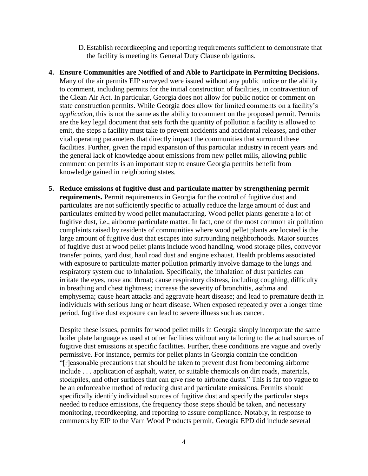- D.Establish recordkeeping and reporting requirements sufficient to demonstrate that the facility is meeting its General Duty Clause obligations.
- **4. Ensure Communities are Notified of and Able to Participate in Permitting Decisions.**  Many of the air permits EIP surveyed were issued without any public notice or the ability to comment, including permits for the initial construction of facilities, in contravention of the Clean Air Act. In particular, Georgia does not allow for public notice or comment on state construction permits. While Georgia does allow for limited comments on a facility's *application*, this is not the same as the ability to comment on the proposed permit. Permits are the key legal document that sets forth the quantity of pollution a facility is allowed to emit, the steps a facility must take to prevent accidents and accidental releases, and other vital operating parameters that directly impact the communities that surround these facilities. Further, given the rapid expansion of this particular industry in recent years and the general lack of knowledge about emissions from new pellet mills, allowing public comment on permits is an important step to ensure Georgia permits benefit from knowledge gained in neighboring states.
- **5. Reduce emissions of fugitive dust and particulate matter by strengthening permit requirements.** Permit requirements in Georgia for the control of fugitive dust and particulates are not sufficiently specific to actually reduce the large amount of dust and particulates emitted by wood pellet manufacturing. Wood pellet plants generate a lot of fugitive dust, i.e., airborne particulate matter. In fact, one of the most common air pollution complaints raised by residents of communities where wood pellet plants are located is the large amount of fugitive dust that escapes into surrounding neighborhoods. Major sources of fugitive dust at wood pellet plants include wood handling, wood storage piles, conveyor transfer points, yard dust, haul road dust and engine exhaust. Health problems associated with exposure to particulate matter pollution primarily involve damage to the lungs and respiratory system due to inhalation. Specifically, the inhalation of dust particles can irritate the eyes, nose and throat; cause respiratory distress, including coughing, difficulty in breathing and chest tightness; increase the severity of bronchitis, asthma and emphysema; cause heart attacks and aggravate heart disease; and lead to premature death in individuals with serious lung or heart disease. When exposed repeatedly over a longer time period, fugitive dust exposure can lead to severe illness such as cancer.

Despite these issues, permits for wood pellet mills in Georgia simply incorporate the same boiler plate language as used at other facilities without any tailoring to the actual sources of fugitive dust emissions at specific facilities. Further, these conditions are vague and overly permissive. For instance, permits for pellet plants in Georgia contain the condition "[r]easonable precautions that should be taken to prevent dust from becoming airborne include . . . application of asphalt, water, or suitable chemicals on dirt roads, materials, stockpiles, and other surfaces that can give rise to airborne dusts." This is far too vague to be an enforceable method of reducing dust and particulate emissions. Permits should specifically identify individual sources of fugitive dust and specify the particular steps needed to reduce emissions, the frequency those steps should be taken, and necessary monitoring, recordkeeping, and reporting to assure compliance. Notably, in response to comments by EIP to the Varn Wood Products permit, Georgia EPD did include several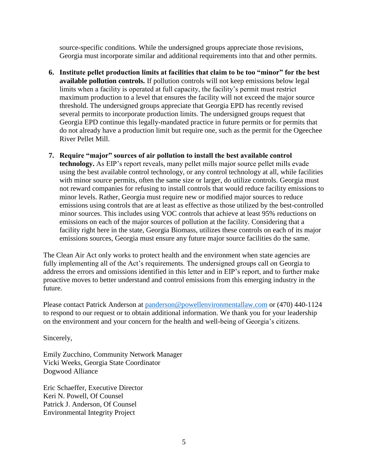source-specific conditions. While the undersigned groups appreciate those revisions, Georgia must incorporate similar and additional requirements into that and other permits.

- **6. Institute pellet production limits at facilities that claim to be too "minor" for the best available pollution controls.** If pollution controls will not keep emissions below legal limits when a facility is operated at full capacity, the facility's permit must restrict maximum production to a level that ensures the facility will not exceed the major source threshold. The undersigned groups appreciate that Georgia EPD has recently revised several permits to incorporate production limits. The undersigned groups request that Georgia EPD continue this legally-mandated practice in future permits or for permits that do not already have a production limit but require one, such as the permit for the Ogeechee River Pellet Mill.
- **7. Require "major" sources of air pollution to install the best available control technology.** As EIP's report reveals, many pellet mills major source pellet mills evade using the best available control technology, or any control technology at all, while facilities with minor source permits, often the same size or larger, do utilize controls. Georgia must not reward companies for refusing to install controls that would reduce facility emissions to minor levels. Rather, Georgia must require new or modified major sources to reduce emissions using controls that are at least as effective as those utilized by the best-controlled minor sources. This includes using VOC controls that achieve at least 95% reductions on emissions on each of the major sources of pollution at the facility. Considering that a facility right here in the state, Georgia Biomass, utilizes these controls on each of its major emissions sources, Georgia must ensure any future major source facilities do the same.

The Clean Air Act only works to protect health and the environment when state agencies are fully implementing all of the Act's requirements. The undersigned groups call on Georgia to address the errors and omissions identified in this letter and in EIP's report, and to further make proactive moves to better understand and control emissions from this emerging industry in the future.

Please contact Patrick Anderson at [panderson@powellenvironmentallaw.com](mailto:panderson@powellenvironmentallaw.com) or (470) 440-1124 to respond to our request or to obtain additional information. We thank you for your leadership on the environment and your concern for the health and well-being of Georgia's citizens.

Sincerely,

Emily Zucchino, Community Network Manager Vicki Weeks, Georgia State Coordinator Dogwood Alliance

Eric Schaeffer, Executive Director Keri N. Powell, Of Counsel Patrick J. Anderson, Of Counsel Environmental Integrity Project